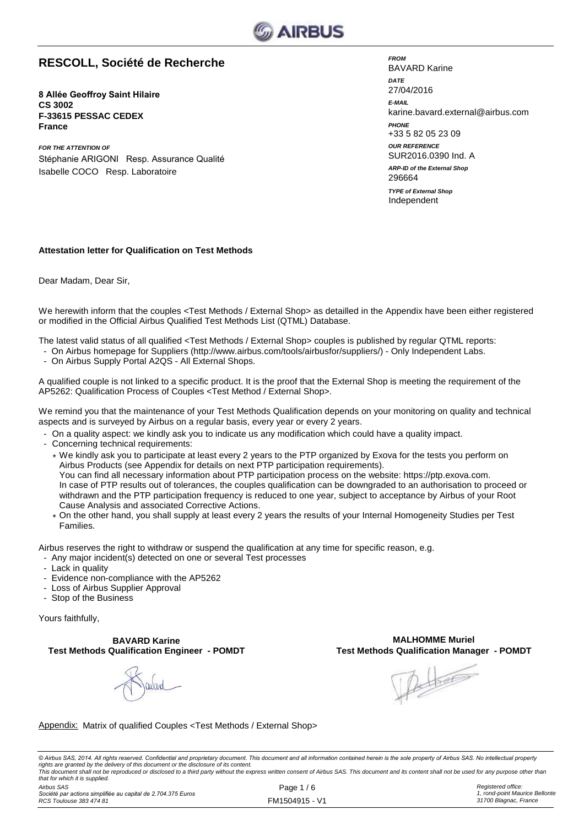

### **RESCOLL, Société de Recherche**

**8 Allée Geoffroy Saint Hilaire CS 3002 F-33615 PESSAC CEDEX France**

*FOR THE ATTENTION OF* Stéphanie ARIGONI Resp. Assurance Qualité Isabelle COCO Resp. Laboratoire

*FROM* BAVARD Karine *DATE* 27/04/2016 *E-MAIL* karine.bavard.external@airbus.com *OUR REFERENCE* SUR2016.0390 Ind. A *PHONE* +33 5 82 05 23 09 Independent 296664 *ARP-ID of the External Shop TYPE of External Shop*

#### **Attestation letter for Qualification on Test Methods**

Dear Madam, Dear Sir,

We herewith inform that the couples <Test Methods / External Shop> as detailled in the Appendix have been either registered or modified in the Official Airbus Qualified Test Methods List (QTML) Database.

The latest valid status of all qualified <Test Methods / External Shop> couples is published by regular QTML reports:

- On Airbus homepage for Suppliers (http://www.airbus.com/tools/airbusfor/suppliers/) Only Independent Labs.
- On Airbus Supply Portal A2QS All External Shops.

A qualified couple is not linked to a specific product. It is the proof that the External Shop is meeting the requirement of the AP5262: Qualification Process of Couples <Test Method / External Shop>.

We remind you that the maintenance of your Test Methods Qualification depends on your monitoring on quality and technical aspects and is surveyed by Airbus on a regular basis, every year or every 2 years.

- On a quality aspect: we kindly ask you to indicate us any modification which could have a quality impact.
- Concerning technical requirements:
	- \* We kindly ask you to participate at least every 2 years to the PTP organized by Exova for the tests you perform on Airbus Products (see Appendix for details on next PTP participation requirements). You can find all necessary information about PTP participation process on the website: https://ptp.exova.com. In case of PTP results out of tolerances, the couples qualification can be downgraded to an authorisation to proceed or withdrawn and the PTP participation frequency is reduced to one year, subject to acceptance by Airbus of your Root Cause Analysis and associated Corrective Actions.
	- \* On the other hand, you shall supply at least every 2 years the results of your Internal Homogeneity Studies per Test Families.
- Airbus reserves the right to withdraw or suspend the qualification at any time for specific reason, e.g.
- Any major incident(s) detected on one or several Test processes
- Lack in quality
- Evidence non-compliance with the AP5262
- Loss of Airbus Supplier Approval
- Stop of the Business

Yours faithfully,

**Test Methods Qualification Engineer - POMDT BAVARD Karine**

**MALHOMME Muriel<br>Test Methods Qualification Manager - POMDT** 

Albert

Appendix: Matrix of qualified Couples <Test Methods / External Shop>

© Airbus SAS, 2014. All rights reserved. Confidential and proprietary document. This document and all information contained herein is the sole property of Airbus SAS. No intellectual property rights are granted by the delivery of this document or the disclosure of its content.<br>This document shall not be reproduced or disclosed to a third party without the express written consent of Airbus SAS. This document and *that for which it is supplied.*

*Airbus SAS Société par actions simplifiée au capital de 2.704.375 Euros RCS Toulouse 383 474 81*

Page 1 / 6 FM1504915 - V1 *Registered office: 1, rond-point Maurice Bellonte 31700 Blagnac, France*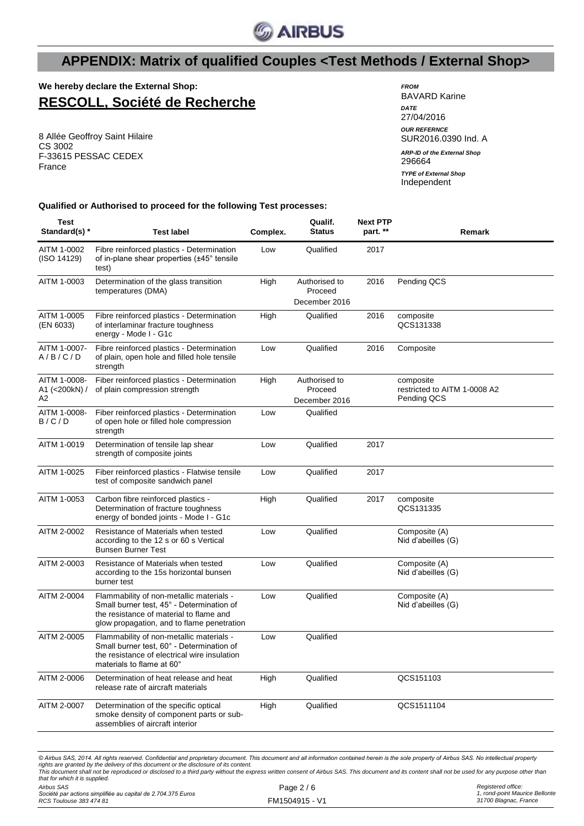

### **We hereby declare the External Shop: RESCOLL, Société de Recherche**

8 Allée Geoffroy Saint Hilaire CS 3002 F-33615 PESSAC CEDEX France

#### *FROM* BAVARD Karine *DATE* 27/04/2016 *OUR REFERNCE* SUR2016.0390 Ind. A 296664 Independent *ARP-ID of the External Shop TYPE of External Shop*

**Qualified or Authorised to proceed for the following Test processes:**

| <b>Test</b><br>Standard(s) *        | <b>Test label</b>                                                                                                                                                              | Complex. | Qualif.<br><b>Status</b>                  | <b>Next PTP</b><br>part. ** | Remark                                                   |
|-------------------------------------|--------------------------------------------------------------------------------------------------------------------------------------------------------------------------------|----------|-------------------------------------------|-----------------------------|----------------------------------------------------------|
| AITM 1-0002<br>(ISO 14129)          | Fibre reinforced plastics - Determination<br>of in-plane shear properties (±45° tensile<br>test)                                                                               | Low      | Qualified                                 | 2017                        |                                                          |
| AITM 1-0003                         | Determination of the glass transition<br>temperatures (DMA)                                                                                                                    | High     | Authorised to<br>Proceed<br>December 2016 | 2016                        | Pending QCS                                              |
| AITM 1-0005<br>(EN 6033)            | Fibre reinforced plastics - Determination<br>of interlaminar fracture toughness<br>energy - Mode I - G1c                                                                       | High     | Qualified                                 | 2016                        | composite<br>QCS131338                                   |
| AITM 1-0007-<br>A/B/C/D             | Fibre reinforced plastics - Determination<br>of plain, open hole and filled hole tensile<br>strength                                                                           | Low      | Qualified                                 | 2016                        | Composite                                                |
| AITM 1-0008-<br>A1 (<200kN) /<br>A2 | Fiber reinforced plastics - Determination<br>of plain compression strength                                                                                                     | High     | Authorised to<br>Proceed<br>December 2016 |                             | composite<br>restricted to AITM 1-0008 A2<br>Pending QCS |
| AITM 1-0008-<br>B/C/D               | Fiber reinforced plastics - Determination<br>of open hole or filled hole compression<br>strength                                                                               | Low      | Qualified                                 |                             |                                                          |
| AITM 1-0019                         | Determination of tensile lap shear<br>strength of composite joints                                                                                                             | Low      | Qualified                                 | 2017                        |                                                          |
| AITM 1-0025                         | Fiber reinforced plastics - Flatwise tensile<br>test of composite sandwich panel                                                                                               | Low      | Qualified                                 | 2017                        |                                                          |
| AITM 1-0053                         | Carbon fibre reinforced plastics -<br>Determination of fracture toughness<br>energy of bonded joints - Mode I - G1c                                                            | High     | Qualified                                 | 2017                        | composite<br>QCS131335                                   |
| AITM 2-0002                         | Resistance of Materials when tested<br>according to the 12 s or 60 s Vertical<br><b>Bunsen Burner Test</b>                                                                     | Low      | Qualified                                 |                             | Composite (A)<br>Nid d'abeilles (G)                      |
| AITM 2-0003                         | Resistance of Materials when tested<br>according to the 15s horizontal bunsen<br>burner test                                                                                   | Low      | Qualified                                 |                             | Composite (A)<br>Nid d'abeilles (G)                      |
| AITM 2-0004                         | Flammability of non-metallic materials -<br>Small burner test, 45° - Determination of<br>the resistance of material to flame and<br>glow propagation, and to flame penetration | Low      | Qualified                                 |                             | Composite (A)<br>Nid d'abeilles (G)                      |
| AITM 2-0005                         | Flammability of non-metallic materials -<br>Small burner test, 60° - Determination of<br>the resistance of electrical wire insulation<br>materials to flame at 60°             | Low      | Qualified                                 |                             |                                                          |
| AITM 2-0006                         | Determination of heat release and heat<br>release rate of aircraft materials                                                                                                   | High     | Qualified                                 |                             | QCS151103                                                |
| AITM 2-0007                         | Determination of the specific optical<br>smoke density of component parts or sub-<br>assemblies of aircraft interior                                                           | High     | Qualified                                 |                             | QCS1511104                                               |

*Airbus SAS* © Airbus SAS, 2014. All rights reserved. Confidential and proprietary document. This document and all information contained herein is the sole property of Airbus SAS. No intellectual property<br>rights are granted by the deli *that for which it is supplied.*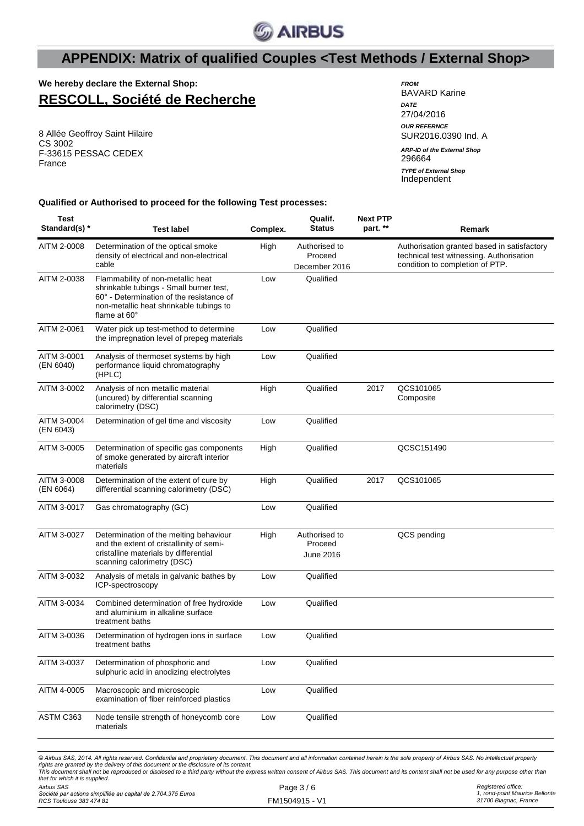

**We hereby declare the External Shop: RESCOLL, Société de Recherche**

8 Allée Geoffroy Saint Hilaire CS 3002 F-33615 PESSAC CEDEX France

#### *FROM* BAVARD Karine *DATE* 27/04/2016 *OUR REFERNCE* SUR2016.0390 Ind. A 296664 *ARP-ID of the External Shop* Independent *TYPE of External Shop*

#### **Qualified or Authorised to proceed for the following Test processes:**

| Test<br>Standard(s) *    | Test label                                                                                                                                                                                 | Complex. | Qualif.<br><b>Status</b>              | <b>Next PTP</b><br>part. ** | Remark                                                                                  |
|--------------------------|--------------------------------------------------------------------------------------------------------------------------------------------------------------------------------------------|----------|---------------------------------------|-----------------------------|-----------------------------------------------------------------------------------------|
| AITM 2-0008              | Determination of the optical smoke<br>density of electrical and non-electrical<br>cable                                                                                                    | High     | Authorised to<br>Proceed              |                             | Authorisation granted based in satisfactory<br>technical test witnessing. Authorisation |
|                          |                                                                                                                                                                                            |          | December 2016                         |                             | condition to completion of PTP.                                                         |
| AITM 2-0038              | Flammability of non-metallic heat<br>shrinkable tubings - Small burner test,<br>60° - Determination of the resistance of<br>non-metallic heat shrinkable tubings to<br>flame at $60^\circ$ | Low      | Qualified                             |                             |                                                                                         |
| AITM 2-0061              | Water pick up test-method to determine<br>the impregnation level of prepeg materials                                                                                                       | Low      | Qualified                             |                             |                                                                                         |
| AITM 3-0001<br>(EN 6040) | Analysis of thermoset systems by high<br>performance liquid chromatography<br>(HPLC)                                                                                                       | Low      | Qualified                             |                             |                                                                                         |
| AITM 3-0002              | Analysis of non metallic material<br>(uncured) by differential scanning<br>calorimetry (DSC)                                                                                               | High     | Qualified                             | 2017                        | QCS101065<br>Composite                                                                  |
| AITM 3-0004<br>(EN 6043) | Determination of gel time and viscosity                                                                                                                                                    | Low      | Qualified                             |                             |                                                                                         |
| AITM 3-0005              | Determination of specific gas components<br>of smoke generated by aircraft interior<br>materials                                                                                           | High     | Qualified                             |                             | QCSC151490                                                                              |
| AITM 3-0008<br>(EN 6064) | Determination of the extent of cure by<br>differential scanning calorimetry (DSC)                                                                                                          | High     | Qualified                             | 2017                        | QCS101065                                                                               |
| AITM 3-0017              | Gas chromatography (GC)                                                                                                                                                                    | Low      | Qualified                             |                             |                                                                                         |
| AITM 3-0027              | Determination of the melting behaviour<br>and the extent of cristallinity of semi-<br>cristalline materials by differential<br>scanning calorimetry (DSC)                                  | High     | Authorised to<br>Proceed<br>June 2016 |                             | QCS pending                                                                             |
| AITM 3-0032              | Analysis of metals in galvanic bathes by<br>ICP-spectroscopy                                                                                                                               | Low      | Qualified                             |                             |                                                                                         |
| AITM 3-0034              | Combined determination of free hydroxide<br>and aluminium in alkaline surface<br>treatment baths                                                                                           | Low      | Qualified                             |                             |                                                                                         |
| AITM 3-0036              | Determination of hydrogen ions in surface<br>treatment baths                                                                                                                               | Low      | Qualified                             |                             |                                                                                         |
| AITM 3-0037              | Determination of phosphoric and<br>sulphuric acid in anodizing electrolytes                                                                                                                | Low      | Qualified                             |                             |                                                                                         |
| AITM 4-0005              | Macroscopic and microscopic<br>examination of fiber reinforced plastics                                                                                                                    | Low      | Qualified                             |                             |                                                                                         |
| ASTM C363                | Node tensile strength of honeycomb core<br>materials                                                                                                                                       | Low      | Qualified                             |                             |                                                                                         |
|                          |                                                                                                                                                                                            |          |                                       |                             |                                                                                         |

© Airbus SAS, 2014. All rights reserved. Confidential and proprietary document. This document and all information contained herein is the sole property of Airbus SAS. No intellectual property rights are granted by the delivery of this document or the disclosure of its content.<br>This document shall not be reproduced or disclosed to a third party without the express written consent of Airbus SAS. This document and *that for which it is supplied.*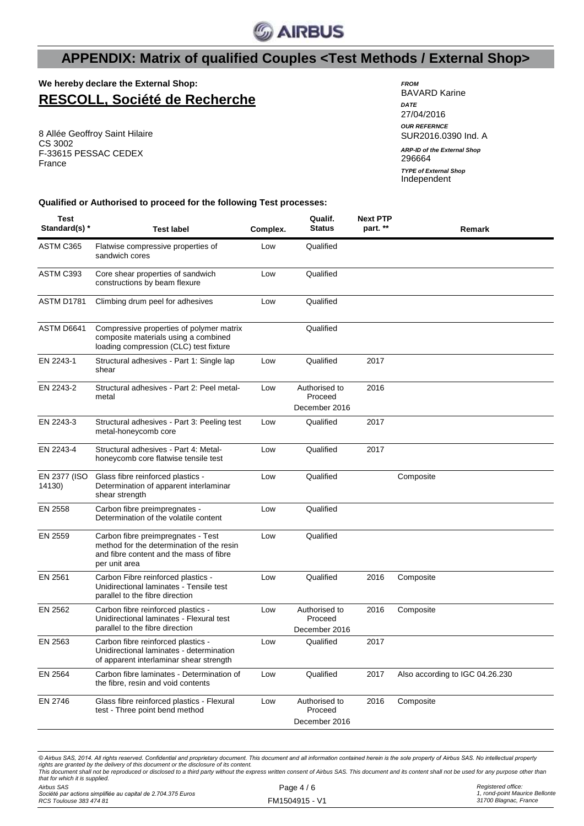

**We hereby declare the External Shop: RESCOLL, Société de Recherche**

8 Allée Geoffroy Saint Hilaire CS 3002 F-33615 PESSAC CEDEX France

| <b>FROM</b><br><b>BAVARD Karine</b>          |
|----------------------------------------------|
| <b>DATF</b><br>27/04/2016                    |
| <b>OUR REFERNCE</b><br>SUR2016.0390 Ind. A   |
| <b>ARP-ID of the External Shop</b><br>296664 |
| <b>TYPE of External Shop</b><br>Independent  |

**Qualified or Authorised to proceed for the following Test processes:**

| Test<br>Standard(s) *  | <b>Test label</b>                                                                                                                           | Complex. | Qualif.<br>Status                         | <b>Next PTP</b><br>part. ** | Remark                          |
|------------------------|---------------------------------------------------------------------------------------------------------------------------------------------|----------|-------------------------------------------|-----------------------------|---------------------------------|
| ASTM C365              | Flatwise compressive properties of<br>sandwich cores                                                                                        | Low      | Qualified                                 |                             |                                 |
| ASTM C393              | Core shear properties of sandwich<br>constructions by beam flexure                                                                          | Low      | Qualified                                 |                             |                                 |
| ASTM D1781             | Climbing drum peel for adhesives                                                                                                            | Low      | Qualified                                 |                             |                                 |
| ASTM D6641             | Compressive properties of polymer matrix<br>composite materials using a combined<br>loading compression (CLC) test fixture                  |          | Qualified                                 |                             |                                 |
| EN 2243-1              | Structural adhesives - Part 1: Single lap<br>shear                                                                                          | Low      | Qualified                                 | 2017                        |                                 |
| EN 2243-2              | Structural adhesives - Part 2: Peel metal-<br>metal                                                                                         | Low      | Authorised to<br>Proceed<br>December 2016 | 2016                        |                                 |
| EN 2243-3              | Structural adhesives - Part 3: Peeling test<br>metal-honeycomb core                                                                         | Low      | Qualified                                 | 2017                        |                                 |
| EN 2243-4              | Structural adhesives - Part 4: Metal-<br>honeycomb core flatwise tensile test                                                               | Low      | Qualified                                 | 2017                        |                                 |
| EN 2377 (ISO<br>14130) | Glass fibre reinforced plastics -<br>Determination of apparent interlaminar<br>shear strength                                               | Low      | Qualified                                 |                             | Composite                       |
| EN 2558                | Carbon fibre preimpregnates -<br>Determination of the volatile content                                                                      | Low      | Qualified                                 |                             |                                 |
| EN 2559                | Carbon fibre preimpregnates - Test<br>method for the determination of the resin<br>and fibre content and the mass of fibre<br>per unit area | Low      | Qualified                                 |                             |                                 |
| EN 2561                | Carbon Fibre reinforced plastics -<br>Unidirectional laminates - Tensile test<br>parallel to the fibre direction                            | Low      | Qualified                                 | 2016                        | Composite                       |
| EN 2562                | Carbon fibre reinforced plastics -<br>Unidirectional laminates - Flexural test<br>parallel to the fibre direction                           | Low      | Authorised to<br>Proceed<br>December 2016 | 2016                        | Composite                       |
| EN 2563                | Carbon fibre reinforced plastics -<br>Unidirectional laminates - determination<br>of apparent interlaminar shear strength                   | Low      | Qualified                                 | 2017                        |                                 |
| EN 2564                | Carbon fibre laminates - Determination of<br>the fibre, resin and void contents                                                             | Low      | Qualified                                 | 2017                        | Also according to IGC 04.26.230 |
| EN 2746                | Glass fibre reinforced plastics - Flexural<br>test - Three point bend method                                                                | Low      | Authorised to<br>Proceed<br>December 2016 | 2016                        | Composite                       |

*Airbus SAS* © Airbus SAS, 2014. All rights reserved. Confidential and proprietary document. This document and all information contained herein is the sole property of Airbus SAS. No intellectual property rights are granted by the delivery of this document or the disclosure of its content.<br>This document shall not be reproduced or disclosed to a third party without the express written consent of Airbus SAS. This document and *that for which it is supplied.*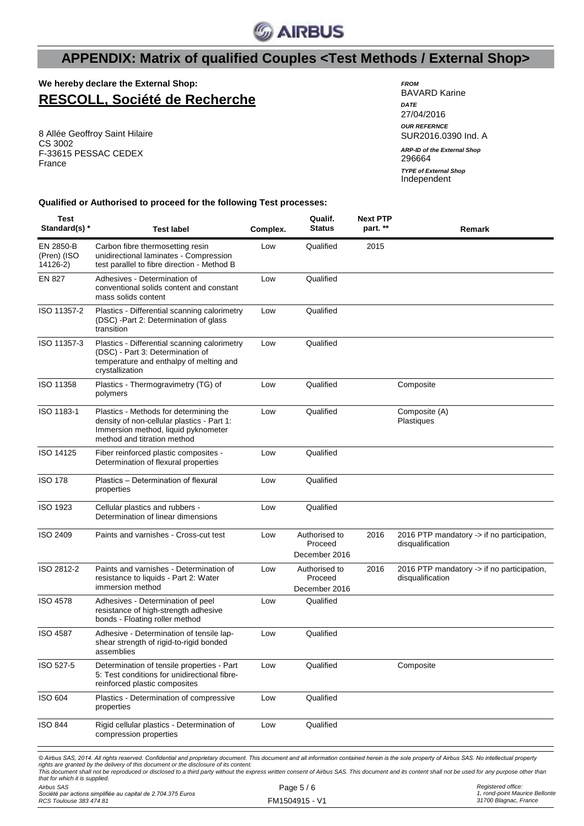

**We hereby declare the External Shop: RESCOLL, Société de Recherche**

8 Allée Geoffroy Saint Hilaire CS 3002 F-33615 PESSAC CEDEX France

| <b>FROM</b><br><b>BAVARD Karine</b>          |
|----------------------------------------------|
| <b>DATE</b><br>27/04/2016                    |
| <b>OUR REFERNCE</b><br>SUR2016.0390 Ind. A   |
| <b>ARP-ID of the External Shop</b><br>296664 |
| <b>TYPE of External Shop</b>                 |

*TYPE of External Shop*<br>Independent

### **Qualified or Authorised to proceed for the following Test processes:**

| <b>Test</b><br>Standard(s) *                 | <b>Test label</b>                                                                                                                                                                                                                                                                                                                                                                                                                                                                             | Complex. | Qualif.<br><b>Status</b>                  | <b>Next PTP</b><br>part. ** | Remark                                                         |
|----------------------------------------------|-----------------------------------------------------------------------------------------------------------------------------------------------------------------------------------------------------------------------------------------------------------------------------------------------------------------------------------------------------------------------------------------------------------------------------------------------------------------------------------------------|----------|-------------------------------------------|-----------------------------|----------------------------------------------------------------|
| EN 2850-B<br>(Pren) (ISO<br>14126-2)         | Carbon fibre thermosetting resin<br>unidirectional laminates - Compression<br>test parallel to fibre direction - Method B                                                                                                                                                                                                                                                                                                                                                                     | Low      | Qualified                                 | 2015                        |                                                                |
| EN 827                                       | Adhesives - Determination of<br>conventional solids content and constant<br>mass solids content                                                                                                                                                                                                                                                                                                                                                                                               | Low      | Qualified                                 |                             |                                                                |
| ISO 11357-2                                  | Plastics - Differential scanning calorimetry<br>(DSC) - Part 2: Determination of glass<br>transition                                                                                                                                                                                                                                                                                                                                                                                          | Low      | Qualified                                 |                             |                                                                |
| ISO 11357-3                                  | Plastics - Differential scanning calorimetry<br>(DSC) - Part 3: Determination of<br>temperature and enthalpy of melting and<br>crystallization                                                                                                                                                                                                                                                                                                                                                | Low      | Qualified                                 |                             |                                                                |
| ISO 11358                                    | Plastics - Thermogravimetry (TG) of<br>polymers                                                                                                                                                                                                                                                                                                                                                                                                                                               | Low      | Qualified                                 |                             | Composite                                                      |
| ISO 1183-1                                   | Plastics - Methods for determining the<br>density of non-cellular plastics - Part 1:<br>Immersion method, liquid pyknometer<br>method and titration method                                                                                                                                                                                                                                                                                                                                    | Low      | Qualified                                 |                             | Composite (A)<br>Plastiques                                    |
| ISO 14125                                    | Fiber reinforced plastic composites -<br>Determination of flexural properties                                                                                                                                                                                                                                                                                                                                                                                                                 | Low      | Qualified                                 |                             |                                                                |
| <b>ISO 178</b>                               | Plastics - Determination of flexural<br>properties                                                                                                                                                                                                                                                                                                                                                                                                                                            | Low      | Qualified                                 |                             |                                                                |
| ISO 1923                                     | Cellular plastics and rubbers -<br>Determination of linear dimensions                                                                                                                                                                                                                                                                                                                                                                                                                         | Low      | Qualified                                 |                             |                                                                |
| ISO 2409                                     | Paints and varnishes - Cross-cut test                                                                                                                                                                                                                                                                                                                                                                                                                                                         | Low      | Authorised to<br>Proceed<br>December 2016 | 2016                        | 2016 PTP mandatory -> if no participation,<br>disqualification |
| ISO 2812-2                                   | Paints and varnishes - Determination of<br>resistance to liquids - Part 2: Water<br>immersion method                                                                                                                                                                                                                                                                                                                                                                                          | Low      | Authorised to<br>Proceed<br>December 2016 | 2016                        | 2016 PTP mandatory -> if no participation,<br>disqualification |
| <b>ISO 4578</b>                              | Adhesives - Determination of peel<br>resistance of high-strength adhesive<br>bonds - Floating roller method                                                                                                                                                                                                                                                                                                                                                                                   | Low      | Qualified                                 |                             |                                                                |
| <b>ISO 4587</b>                              | Adhesive - Determination of tensile lap-<br>shear strength of rigid-to-rigid bonded<br>assemblies                                                                                                                                                                                                                                                                                                                                                                                             | Low      | Qualified                                 |                             |                                                                |
| ISO 527-5                                    | Determination of tensile properties - Part<br>5: Test conditions for unidirectional fibre-<br>reinforced plastic composites                                                                                                                                                                                                                                                                                                                                                                   | Low      | Qualified                                 |                             | Composite                                                      |
| <b>ISO 604</b>                               | Plastics - Determination of compressive<br>properties                                                                                                                                                                                                                                                                                                                                                                                                                                         | Low      | Qualified                                 |                             |                                                                |
| <b>ISO 844</b>                               | Rigid cellular plastics - Determination of<br>compression properties                                                                                                                                                                                                                                                                                                                                                                                                                          | Low      | Qualified                                 |                             |                                                                |
| that for which it is supplied.<br>Airbus SAS | © Airbus SAS, 2014. All rights reserved. Confidential and proprietary document. This document and all information contained herein is the sole property of Airbus SAS. No intellectual property<br>rights are granted by the delivery of this document or the disclosure of its content.<br>This document shall not be reproduced or disclosed to a third party without the express written consent of Airbus SAS. This document and its content shall not be used for any purpose other than |          | Page 5/6                                  |                             | Registered office:                                             |
|                                              |                                                                                                                                                                                                                                                                                                                                                                                                                                                                                               |          |                                           |                             |                                                                |